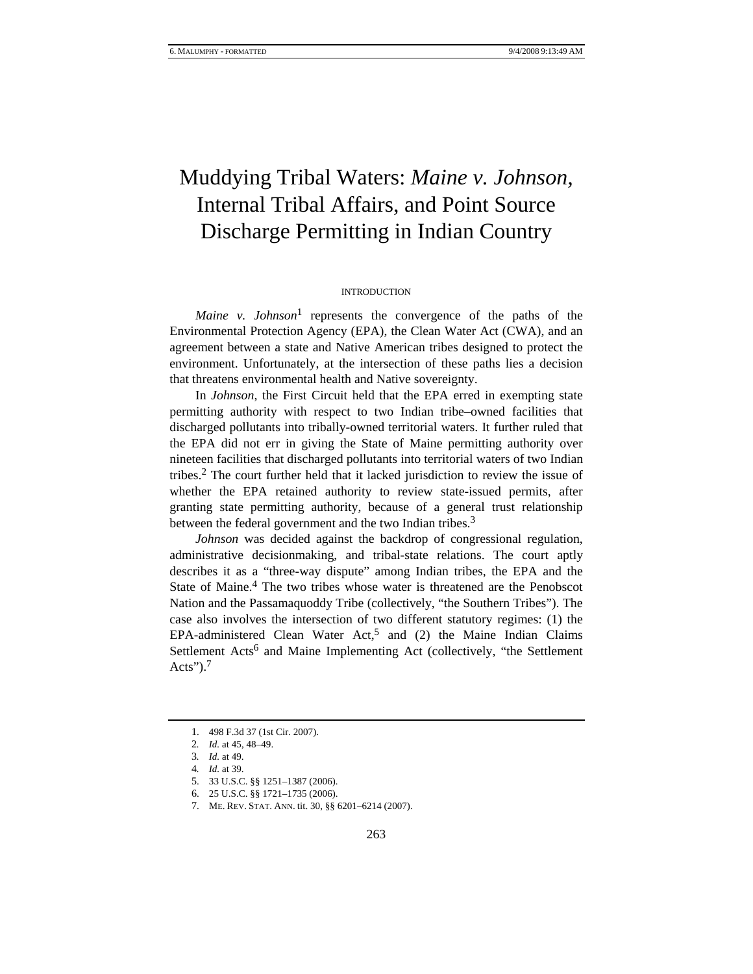# Muddying Tribal Waters: *Maine v. Johnson,*  Internal Tribal Affairs, and Point Source Discharge Permitting in Indian Country

#### INTRODUCTION

*Maine v. Johnson*<sup>1</sup> represents the convergence of the paths of the Environmental Protection Agency (EPA), the Clean Water Act (CWA), and an agreement between a state and Native American tribes designed to protect the environment. Unfortunately, at the intersection of these paths lies a decision that threatens environmental health and Native sovereignty.

In *Johnson*, the First Circuit held that the EPA erred in exempting state permitting authority with respect to two Indian tribe–owned facilities that discharged pollutants into tribally-owned territorial waters. It further ruled that the EPA did not err in giving the State of Maine permitting authority over nineteen facilities that discharged pollutants into territorial waters of two Indian tribes.2 The court further held that it lacked jurisdiction to review the issue of whether the EPA retained authority to review state-issued permits, after granting state permitting authority, because of a general trust relationship between the federal government and the two Indian tribes.<sup>3</sup>

*Johnson* was decided against the backdrop of congressional regulation, administrative decisionmaking, and tribal-state relations. The court aptly describes it as a "three-way dispute" among Indian tribes, the EPA and the State of Maine.<sup>4</sup> The two tribes whose water is threatened are the Penobscot Nation and the Passamaquoddy Tribe (collectively, "the Southern Tribes"). The case also involves the intersection of two different statutory regimes: (1) the EPA-administered Clean Water Act,<sup>5</sup> and (2) the Maine Indian Claims Settlement Acts<sup>6</sup> and Maine Implementing Act (collectively, "the Settlement Acts" $)^{7}$ 

<sup>1. 498</sup> F.3d 37 (1st Cir. 2007).

<sup>2</sup>*. Id.* at 45, 48–49.

<sup>3</sup>*. Id.* at 49.

<sup>4</sup>*. Id.* at 39.

<sup>5. 33</sup> U.S.C. §§ 1251–1387 (2006).

<sup>6. 25</sup> U.S.C. §§ 1721–1735 (2006).

<sup>7.</sup> ME. REV. STAT. ANN. tit. 30, §§ 6201–6214 (2007).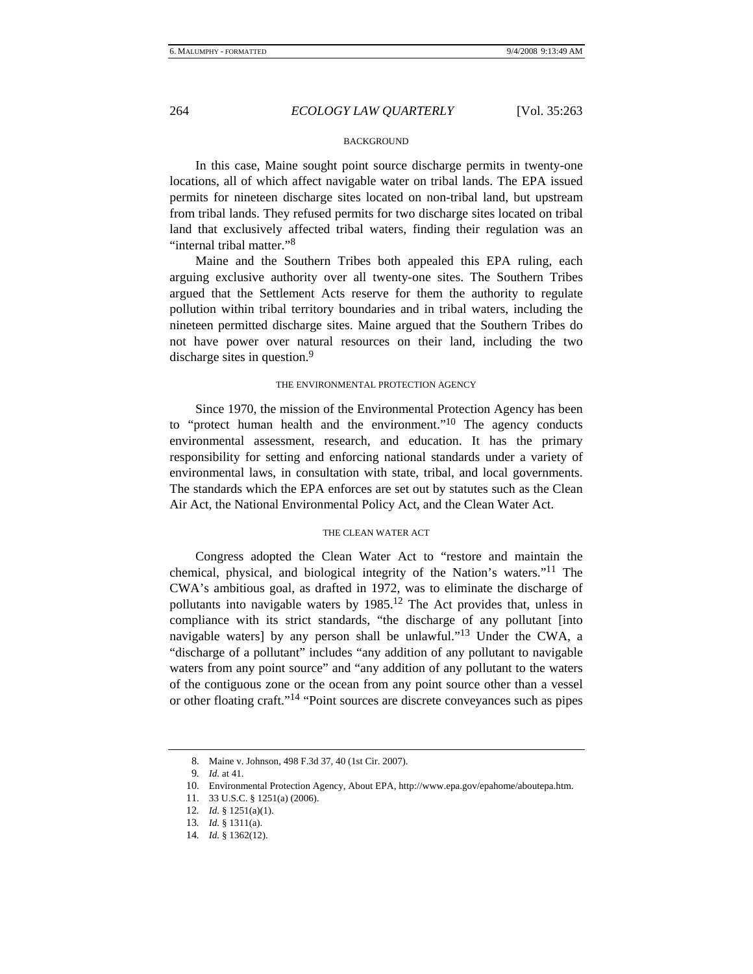## 264 *ECOLOGY LAW QUARTERLY* [Vol. 35:263

# **BACKGROUND**

In this case, Maine sought point source discharge permits in twenty-one locations, all of which affect navigable water on tribal lands. The EPA issued permits for nineteen discharge sites located on non-tribal land, but upstream from tribal lands. They refused permits for two discharge sites located on tribal land that exclusively affected tribal waters, finding their regulation was an "internal tribal matter."<sup>8</sup>

Maine and the Southern Tribes both appealed this EPA ruling, each arguing exclusive authority over all twenty-one sites. The Southern Tribes argued that the Settlement Acts reserve for them the authority to regulate pollution within tribal territory boundaries and in tribal waters, including the nineteen permitted discharge sites. Maine argued that the Southern Tribes do not have power over natural resources on their land, including the two discharge sites in question.<sup>9</sup>

### THE ENVIRONMENTAL PROTECTION AGENCY

Since 1970, the mission of the Environmental Protection Agency has been to "protect human health and the environment."<sup>10</sup> The agency conducts environmental assessment, research, and education. It has the primary responsibility for setting and enforcing national standards under a variety of environmental laws, in consultation with state, tribal, and local governments. The standards which the EPA enforces are set out by statutes such as the Clean Air Act, the National Environmental Policy Act, and the Clean Water Act.

### THE CLEAN WATER ACT

Congress adopted the Clean Water Act to "restore and maintain the chemical, physical, and biological integrity of the Nation's waters."11 The CWA's ambitious goal, as drafted in 1972, was to eliminate the discharge of pollutants into navigable waters by 1985.12 The Act provides that, unless in compliance with its strict standards, "the discharge of any pollutant [into navigable waters] by any person shall be unlawful."13 Under the CWA, a "discharge of a pollutant" includes "any addition of any pollutant to navigable waters from any point source" and "any addition of any pollutant to the waters of the contiguous zone or the ocean from any point source other than a vessel or other floating craft."14 "Point sources are discrete conveyances such as pipes

<sup>8.</sup> Maine v. Johnson, 498 F.3d 37, 40 (1st Cir. 2007).

<sup>9</sup>*. Id.* at 41.

<sup>10.</sup> Environmental Protection Agency, About EPA, http://www.epa.gov/epahome/aboutepa.htm.

<sup>11. 33</sup> U.S.C. § 1251(a) (2006).

<sup>12</sup>*. Id.* § 1251(a)(1).

<sup>13</sup>*. Id.* § 1311(a).

<sup>14</sup>*. Id.* § 1362(12).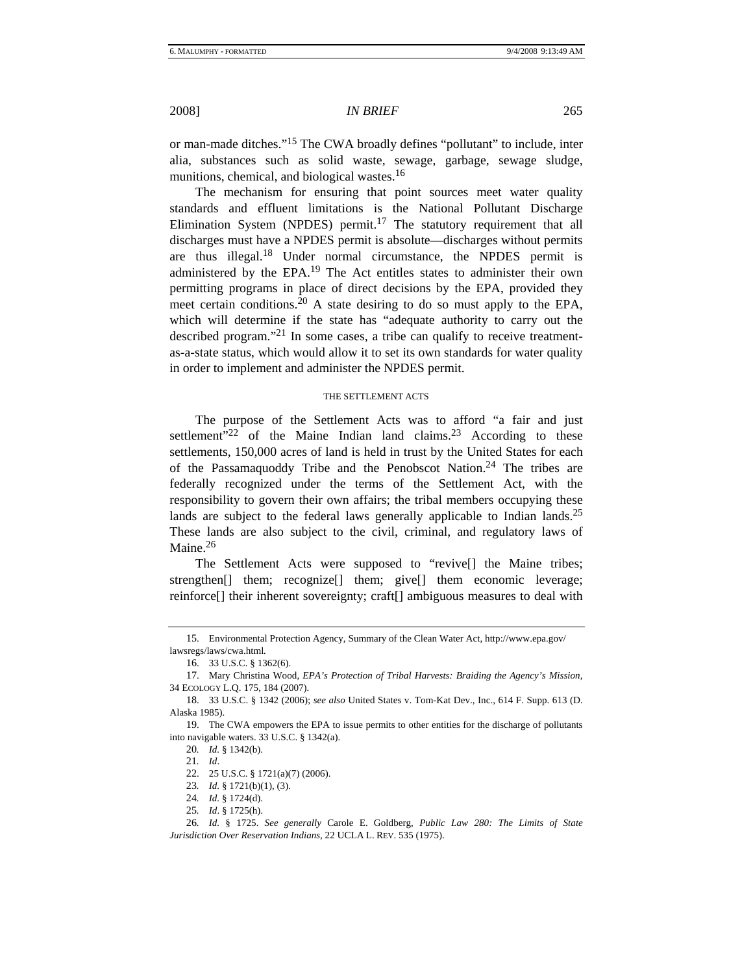2008] *IN BRIEF* 265

or man-made ditches."15 The CWA broadly defines "pollutant" to include, inter alia, substances such as solid waste, sewage, garbage, sewage sludge, munitions, chemical, and biological wastes.<sup>16</sup>

The mechanism for ensuring that point sources meet water quality standards and effluent limitations is the National Pollutant Discharge Elimination System (NPDES) permit.<sup>17</sup> The statutory requirement that all discharges must have a NPDES permit is absolute—discharges without permits are thus illegal.18 Under normal circumstance, the NPDES permit is administered by the EPA.19 The Act entitles states to administer their own permitting programs in place of direct decisions by the EPA, provided they meet certain conditions.20 A state desiring to do so must apply to the EPA, which will determine if the state has "adequate authority to carry out the described program."21 In some cases, a tribe can qualify to receive treatmentas-a-state status, which would allow it to set its own standards for water quality in order to implement and administer the NPDES permit.

#### THE SETTLEMENT ACTS

The purpose of the Settlement Acts was to afford "a fair and just settlement"<sup>22</sup> of the Maine Indian land claims.<sup>23</sup> According to these settlements, 150,000 acres of land is held in trust by the United States for each of the Passamaquoddy Tribe and the Penobscot Nation.<sup>24</sup> The tribes are federally recognized under the terms of the Settlement Act, with the responsibility to govern their own affairs; the tribal members occupying these lands are subject to the federal laws generally applicable to Indian lands.<sup>25</sup> These lands are also subject to the civil, criminal, and regulatory laws of Maine.<sup>26</sup>

The Settlement Acts were supposed to "revive[] the Maine tribes; strengthen[] them; recognize[] them; give[] them economic leverage; reinforce[] their inherent sovereignty; craft[] ambiguous measures to deal with

<sup>15.</sup> Environmental Protection Agency, Summary of the Clean Water Act, http://www.epa.gov/ lawsregs/laws/cwa.html*.*

<sup>16. 33</sup> U.S.C. § 1362(6).

<sup>17.</sup> Mary Christina Wood, *EPA's Protection of Tribal Harvests: Braiding the Agency's Mission*, 34 ECOLOGY L.Q. 175, 184 (2007).

<sup>18. 33</sup> U.S.C. § 1342 (2006); *see also* United States v. Tom-Kat Dev., Inc., 614 F. Supp. 613 (D. Alaska 1985).

<sup>19.</sup> The CWA empowers the EPA to issue permits to other entities for the discharge of pollutants into navigable waters. 33 U.S.C. § 1342(a).

<sup>20</sup>*. Id.* § 1342(b).

<sup>21</sup>*. Id*.

<sup>22. 25</sup> U.S.C. § 1721(a)(7) (2006).

<sup>23</sup>*. Id.* § 1721(b)(1), (3).

<sup>24</sup>*. Id.* § 1724(d).

<sup>25</sup>*. Id*. § 1725(h).

<sup>26</sup>*. Id.* § 1725. *See generally* Carole E. Goldberg, *Public Law 280: The Limits of State Jurisdiction Over Reservation Indians*, 22 UCLA L. REV. 535 (1975).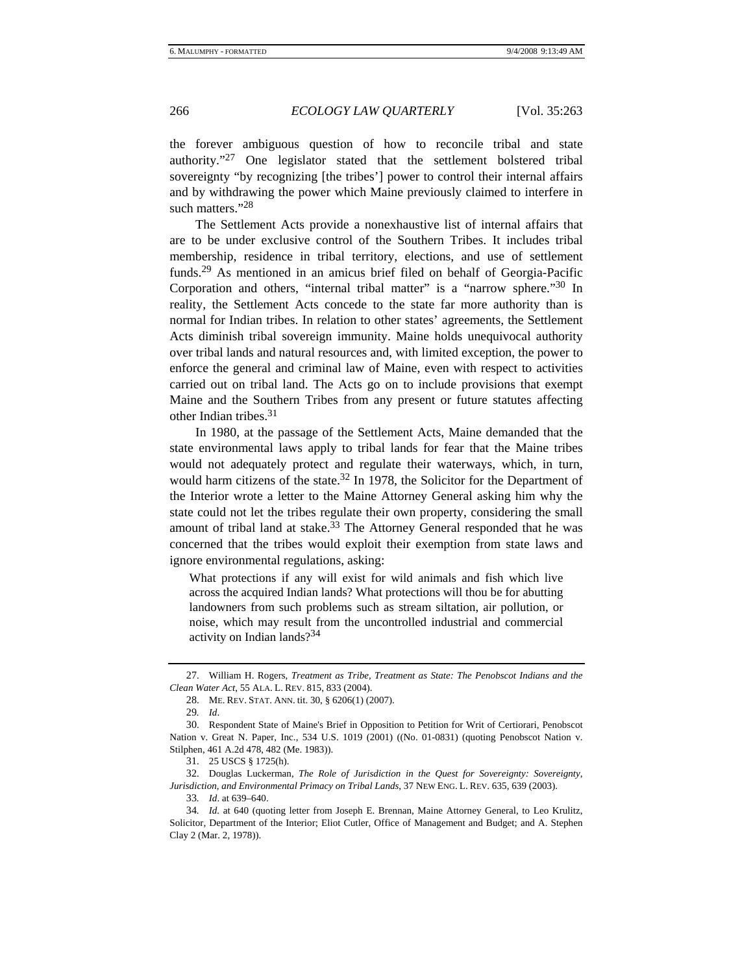266 *ECOLOGY LAW QUARTERLY* [Vol. 35:263

the forever ambiguous question of how to reconcile tribal and state authority."27 One legislator stated that the settlement bolstered tribal sovereignty "by recognizing [the tribes'] power to control their internal affairs and by withdrawing the power which Maine previously claimed to interfere in such matters."28

The Settlement Acts provide a nonexhaustive list of internal affairs that are to be under exclusive control of the Southern Tribes. It includes tribal membership, residence in tribal territory, elections, and use of settlement funds.29 As mentioned in an amicus brief filed on behalf of Georgia-Pacific Corporation and others, "internal tribal matter" is a "narrow sphere."30 In reality, the Settlement Acts concede to the state far more authority than is normal for Indian tribes. In relation to other states' agreements, the Settlement Acts diminish tribal sovereign immunity. Maine holds unequivocal authority over tribal lands and natural resources and, with limited exception, the power to enforce the general and criminal law of Maine, even with respect to activities carried out on tribal land. The Acts go on to include provisions that exempt Maine and the Southern Tribes from any present or future statutes affecting other Indian tribes. $31$ 

In 1980, at the passage of the Settlement Acts, Maine demanded that the state environmental laws apply to tribal lands for fear that the Maine tribes would not adequately protect and regulate their waterways, which, in turn, would harm citizens of the state.<sup>32</sup> In 1978, the Solicitor for the Department of the Interior wrote a letter to the Maine Attorney General asking him why the state could not let the tribes regulate their own property, considering the small amount of tribal land at stake.<sup>33</sup> The Attorney General responded that he was concerned that the tribes would exploit their exemption from state laws and ignore environmental regulations, asking:

What protections if any will exist for wild animals and fish which live across the acquired Indian lands? What protections will thou be for abutting landowners from such problems such as stream siltation, air pollution, or noise, which may result from the uncontrolled industrial and commercial activity on Indian lands?<sup>34</sup>

<sup>27.</sup> William H. Rogers, *Treatment as Tribe, Treatment as State: The Penobscot Indians and the Clean Water Act*, 55 ALA. L. REV. 815, 833 (2004).

<sup>28.</sup> ME. REV. STAT. ANN. tit. 30, § 6206(1) (2007).

<sup>29</sup>*. Id*.

<sup>30.</sup> Respondent State of Maine's Brief in Opposition to Petition for Writ of Certiorari, Penobscot Nation v. Great N. Paper, Inc., 534 U.S. 1019 (2001) ((No. 01-0831) (quoting Penobscot Nation v. Stilphen, 461 A.2d 478, 482 (Me. 1983)).

<sup>31. 25</sup> USCS § 1725(h).

<sup>32.</sup> Douglas Luckerman, *The Role of Jurisdiction in the Quest for Sovereignty: Sovereignty, Jurisdiction, and Environmental Primacy on Tribal Lands*, 37 NEW ENG. L. REV. 635, 639 (2003).

<sup>33</sup>*. Id*. at 639–640.

<sup>34</sup>*. Id.* at 640 (quoting letter from Joseph E. Brennan, Maine Attorney General, to Leo Krulitz, Solicitor, Department of the Interior; Eliot Cutler, Office of Management and Budget; and A. Stephen Clay 2 (Mar. 2, 1978)).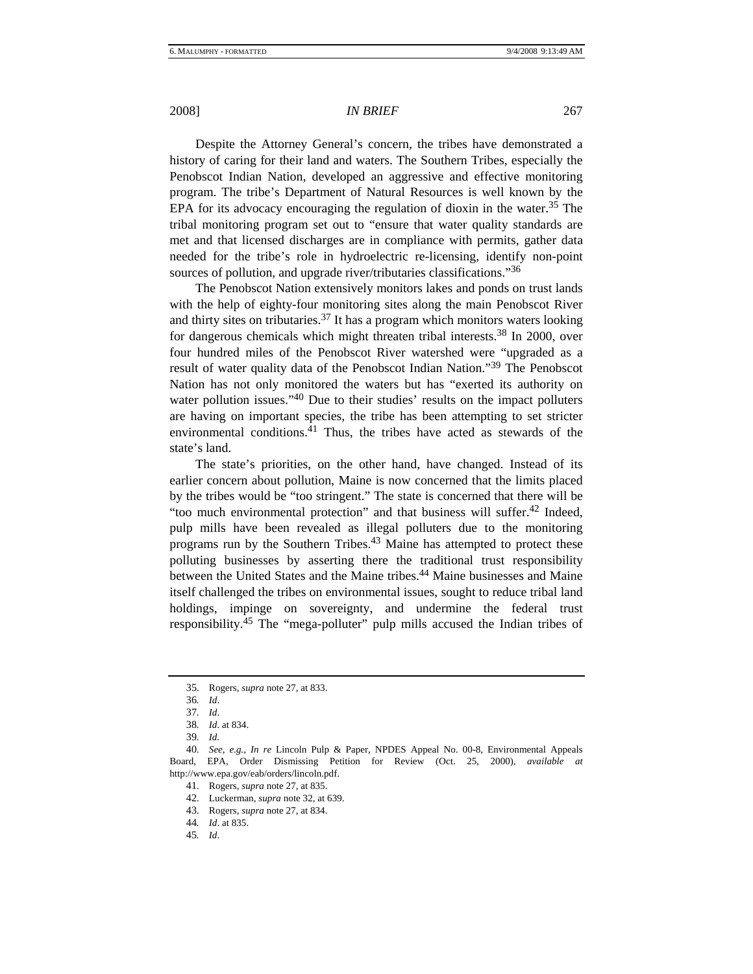# 2008] *IN BRIEF* 267

Despite the Attorney General's concern, the tribes have demonstrated a history of caring for their land and waters. The Southern Tribes, especially the Penobscot Indian Nation, developed an aggressive and effective monitoring program. The tribe's Department of Natural Resources is well known by the EPA for its advocacy encouraging the regulation of dioxin in the water.<sup>35</sup> The tribal monitoring program set out to "ensure that water quality standards are met and that licensed discharges are in compliance with permits, gather data needed for the tribe's role in hydroelectric re-licensing, identify non-point sources of pollution, and upgrade river/tributaries classifications."<sup>36</sup>

The Penobscot Nation extensively monitors lakes and ponds on trust lands with the help of eighty-four monitoring sites along the main Penobscot River and thirty sites on tributaries.<sup>37</sup> It has a program which monitors waters looking for dangerous chemicals which might threaten tribal interests.<sup>38</sup> In 2000, over four hundred miles of the Penobscot River watershed were "upgraded as a result of water quality data of the Penobscot Indian Nation."39 The Penobscot Nation has not only monitored the waters but has "exerted its authority on water pollution issues."<sup>40</sup> Due to their studies' results on the impact polluters are having on important species, the tribe has been attempting to set stricter environmental conditions.<sup>41</sup> Thus, the tribes have acted as stewards of the state's land.

The state's priorities, on the other hand, have changed. Instead of its earlier concern about pollution, Maine is now concerned that the limits placed by the tribes would be "too stringent." The state is concerned that there will be "too much environmental protection" and that business will suffer.42 Indeed, pulp mills have been revealed as illegal polluters due to the monitoring programs run by the Southern Tribes.<sup>43</sup> Maine has attempted to protect these polluting businesses by asserting there the traditional trust responsibility between the United States and the Maine tribes.<sup>44</sup> Maine businesses and Maine itself challenged the tribes on environmental issues, sought to reduce tribal land holdings, impinge on sovereignty, and undermine the federal trust responsibility.45 The "mega-polluter" pulp mills accused the Indian tribes of

<sup>35.</sup> Rogers, *supra* note 27, at 833.

<sup>36</sup>*. Id*.

<sup>37</sup>*. Id*.

<sup>38</sup>*. Id*. at 834.

<sup>39</sup>*. Id.*

<sup>40</sup>*. See, e.g.*, *In re* Lincoln Pulp & Paper, NPDES Appeal No. 00-8, Environmental Appeals Board, EPA, Order Dismissing Petition for Review (Oct. 25, 2000), *available at* http://www.epa.gov/eab/orders/lincoln.pdf.

<sup>41.</sup> Rogers, *supra* note 27, at 835.

<sup>42.</sup> Luckerman, *supra* note 32, at 639.

<sup>43.</sup> Rogers, *supra* note 27, at 834.

<sup>44</sup>*. Id*. at 835.

<sup>45</sup>*. Id*.